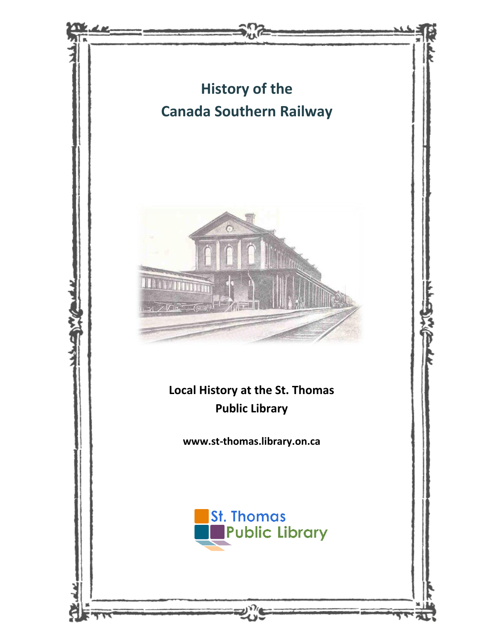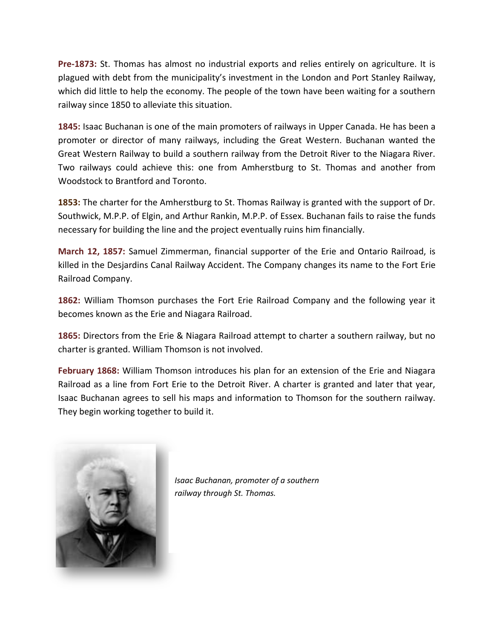**Pre-1873:** St. Thomas has almost no industrial exports and relies entirely on agriculture. It is plagued with debt from the municipality's investment in the London and Port Stanley Railway, which did little to help the economy. The people of the town have been waiting for a southern railway since 1850 to alleviate this situation.

**1845:** Isaac Buchanan is one of the main promoters of railways in Upper Canada. He has been a promoter or director of many railways, including the Great Western. Buchanan wanted the Great Western Railway to build a southern railway from the Detroit River to the Niagara River. Two railways could achieve this: one from Amherstburg to St. Thomas and another from Woodstock to Brantford and Toronto.

**1853:** The charter for the Amherstburg to St. Thomas Railway is granted with the support of Dr. Southwick, M.P.P. of Elgin, and Arthur Rankin, M.P.P. of Essex. Buchanan fails to raise the funds necessary for building the line and the project eventually ruins him financially.

**March 12, 1857:** Samuel Zimmerman, financial supporter of the Erie and Ontario Railroad, is killed in the Desjardins Canal Railway Accident. The Company changes its name to the Fort Erie Railroad Company.

**1862:** William Thomson purchases the Fort Erie Railroad Company and the following year it becomes known as the Erie and Niagara Railroad.

**1865:** Directors from the Erie & Niagara Railroad attempt to charter a southern railway, but no charter is granted. William Thomson is not involved.

**February 1868:** William Thomson introduces his plan for an extension of the Erie and Niagara Railroad as a line from Fort Erie to the Detroit River. A charter is granted and later that year, Isaac Buchanan agrees to sell his maps and information to Thomson for the southern railway. They begin working together to build it.



*Isaac Buchanan, promoter of a southern railway through St. Thomas.*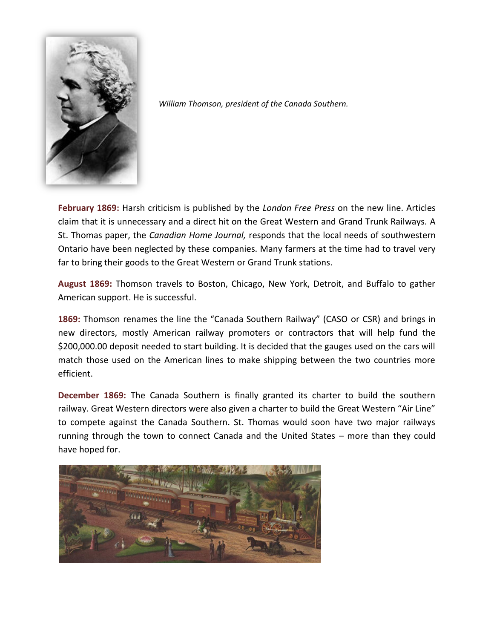

*William Thomson, president of the Canada Southern.*

**February 1869:** Harsh criticism is published by the *London Free Press* on the new line. Articles claim that it is unnecessary and a direct hit on the Great Western and Grand Trunk Railways. A St. Thomas paper, the *Canadian Home Journal,* responds that the local needs of southwestern Ontario have been neglected by these companies. Many farmers at the time had to travel very far to bring their goods to the Great Western or Grand Trunk stations.

**August 1869:** Thomson travels to Boston, Chicago, New York, Detroit, and Buffalo to gather American support. He is successful.

**1869:** Thomson renames the line the "Canada Southern Railway" (CASO or CSR) and brings in new directors, mostly American railway promoters or contractors that will help fund the \$200,000.00 deposit needed to start building. It is decided that the gauges used on the cars will match those used on the American lines to make shipping between the two countries more efficient.

**December 1869:** The Canada Southern is finally granted its charter to build the southern railway. Great Western directors were also given a charter to build the Great Western "Air Line" to compete against the Canada Southern. St. Thomas would soon have two major railways running through the town to connect Canada and the United States – more than they could have hoped for.

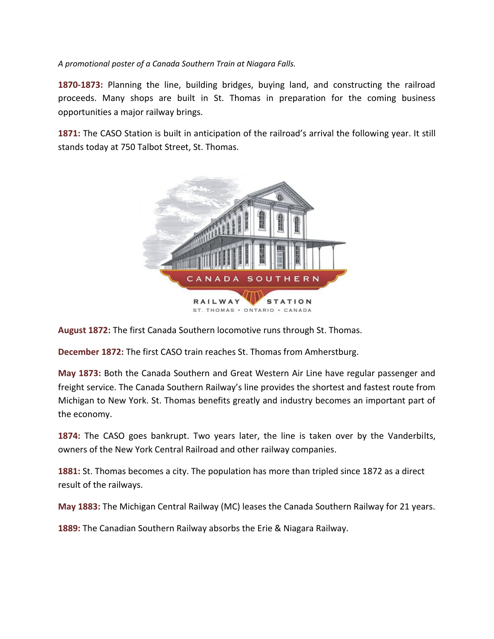*A promotional poster of a Canada Southern Train at Niagara Falls.*

**1870-1873:** Planning the line, building bridges, buying land, and constructing the railroad proceeds. Many shops are built in St. Thomas in preparation for the coming business opportunities a major railway brings.

**1871:** The CASO Station is built in anticipation of the railroad's arrival the following year. It still stands today at 750 Talbot Street, St. Thomas.



**August 1872:** The first Canada Southern locomotive runs through St. Thomas.

**December 1872:** The first CASO train reaches St. Thomas from Amherstburg.

**May 1873:** Both the Canada Southern and Great Western Air Line have regular passenger and freight service. The Canada Southern Railway's line provides the shortest and fastest route from Michigan to New York. St. Thomas benefits greatly and industry becomes an important part of the economy.

**1874:** The CASO goes bankrupt. Two years later, the line is taken over by the Vanderbilts, owners of the New York Central Railroad and other railway companies.

**1881:** St. Thomas becomes a city. The population has more than tripled since 1872 as a direct result of the railways.

**May 1883:** The Michigan Central Railway (MC) leases the Canada Southern Railway for 21 years.

**1889:** The Canadian Southern Railway absorbs the Erie & Niagara Railway.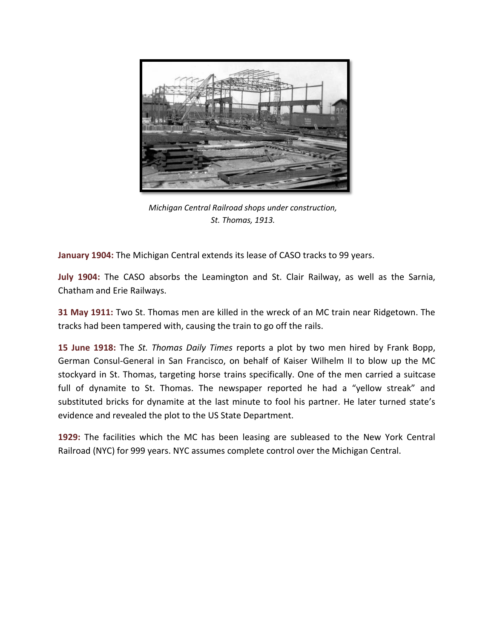

*Michigan Central Railroad shops under construction, St. Thomas, 1913.*

**January 1904:** The Michigan Central extends its lease of CASO tracks to 99 years.

**July 1904:** The CASO absorbs the Leamington and St. Clair Railway, as well as the Sarnia, Chatham and Erie Railways.

**31 May 1911:** Two St. Thomas men are killed in the wreck of an MC train near Ridgetown. The tracks had been tampered with, causing the train to go off the rails.

**15 June 1918:** The *St. Thomas Daily Times* reports a plot by two men hired by Frank Bopp, German Consul-General in San Francisco, on behalf of Kaiser Wilhelm II to blow up the MC stockyard in St. Thomas, targeting horse trains specifically. One of the men carried a suitcase full of dynamite to St. Thomas. The newspaper reported he had a "yellow streak" and substituted bricks for dynamite at the last minute to fool his partner. He later turned state's evidence and revealed the plot to the US State Department.

**1929:** The facilities which the MC has been leasing are subleased to the New York Central Railroad (NYC) for 999 years. NYC assumes complete control over the Michigan Central.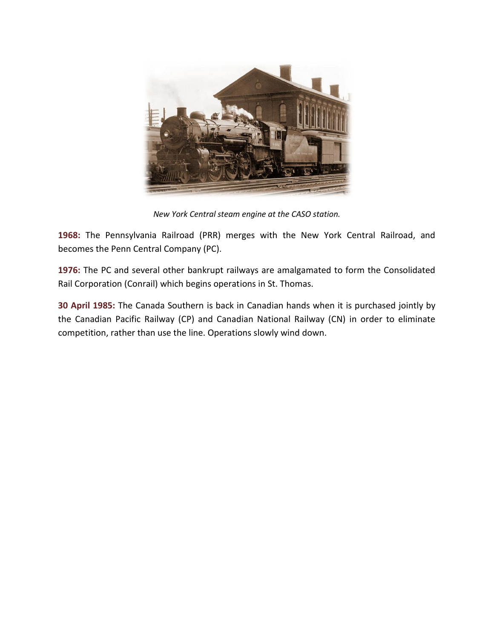

*New York Central steam engine at the CASO station.*

**1968:** The Pennsylvania Railroad (PRR) merges with the New York Central Railroad, and becomes the Penn Central Company (PC).

**1976:** The PC and several other bankrupt railways are amalgamated to form the Consolidated Rail Corporation (Conrail) which begins operations in St. Thomas.

**30 April 1985:** The Canada Southern is back in Canadian hands when it is purchased jointly by the Canadian Pacific Railway (CP) and Canadian National Railway (CN) in order to eliminate competition, rather than use the line. Operations slowly wind down.